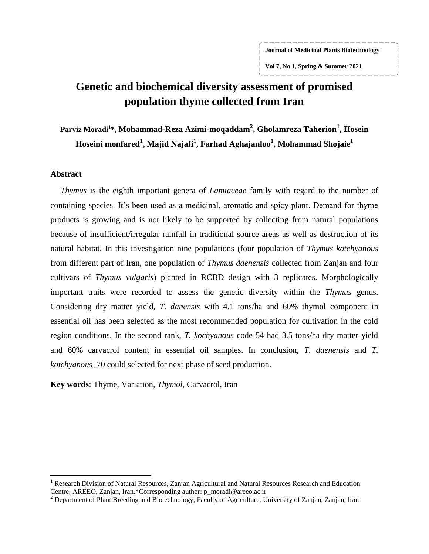**Journal of Medicinal Plants Biotechnology**

**Vol 7, No 1, Spring & Summer 2021**

# **Genetic and biochemical diversity assessment of promised population thyme collected from Iran**

**Parviz Moradi<sup>1</sup> \*, Mohammad-Reza Azimi-moqaddam<sup>2</sup> , Gholamreza Taherion<sup>1</sup> , Hosein Hoseini monfared<sup>1</sup> , Majid Najafi<sup>1</sup> , Farhad Aghajanloo<sup>1</sup> , Mohammad Shojaie<sup>1</sup>**

#### **Abstract**

 $\overline{\phantom{a}}$ 

*Thymus* is the eighth important genera of *Lamiaceae* family with regard to the number of containing species. It's been used as a medicinal, aromatic and spicy plant. Demand for thyme products is growing and is not likely to be supported by collecting from natural populations because of insufficient/irregular rainfall in traditional source areas as well as destruction of its natural habitat. In this investigation nine populations (four population of *Thymus kotchyanous* from different part of Iran, one population of *Thymus daenensis* collected from Zanjan and four cultivars of *Thymus vulgaris*) planted in RCBD design with 3 replicates. Morphologically important traits were recorded to assess the genetic diversity within the *Thymus* genus. Considering dry matter yield, *T. danensis* with 4.1 tons/ha and 60% thymol component in essential oil has been selected as the most recommended population for cultivation in the cold region conditions. In the second rank, *T. kochyanous* code 54 had 3.5 tons/ha dry matter yield and 60% carvacrol content in essential oil samples. In conclusion, *T. daenensis* and *T. kotchyanous*\_70 could selected for next phase of seed production.

**Key words**: Thyme, Variation, *Thymol*, Carvacrol, Iran

<sup>&</sup>lt;sup>1</sup> Research Division of Natural Resources, Zanjan Agricultural and Natural Resources Research and Education Centre, AREEO, Zanjan, Iran.\*Corresponding author: p\_moradi@areeo.ac.ir

 $2$  Department of Plant Breeding and Biotechnology, Faculty of Agriculture, University of Zanjan, Zanjan, Iran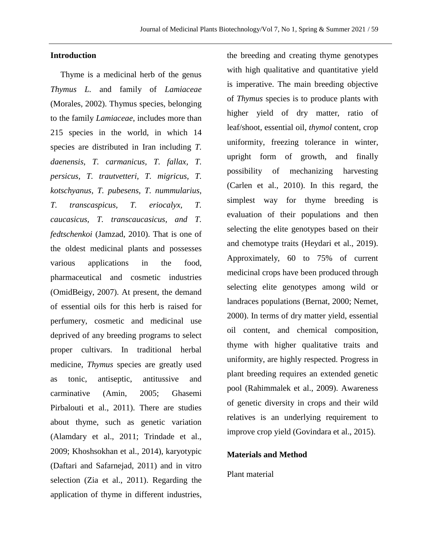# **Introduction**

Thyme is a medicinal herb of the genus *Thymus L.* and family of *Lamiaceae* (Morales, 2002). Thymus species, belonging to the family *Lamiaceae*, includes more than 215 species in the world, in which 14 species are distributed in Iran including *T. daenensis, T. carmanicus, T. fallax, T. persicus, T. trautvetteri, T. migricus, T. kotschyanus, T. pubesens, T. nummularius, T. transcaspicus, T. eriocalyx, T. caucasicus, T. transcaucasicus, and T. fedtschenkoi* (Jamzad, 2010). That is one of the oldest medicinal plants and possesses various applications in the food, pharmaceutical and cosmetic industries (OmidBeigy, 2007). At present, the demand of essential oils for this herb is raised for perfumery, cosmetic and medicinal use deprived of any breeding programs to select proper cultivars. In traditional herbal medicine, *Thymus* species are greatly used as tonic, antiseptic, antitussive and carminative (Amin, 2005; Ghasemi Pirbalouti et al., 2011). There are studies about thyme, such as genetic variation (Alamdary et al., 2011; Trindade et al., 2009; Khoshsokhan et al., 2014), karyotypic (Daftari and Safarnejad, 2011) and in vitro selection (Zia et al., 2011). Regarding the application of thyme in different industries,

the breeding and creating thyme genotypes with high qualitative and quantitative yield is imperative. The main breeding objective of *Thymus* species is to produce plants with higher yield of dry matter, ratio of leaf/shoot, essential oil*, thymol* content, crop uniformity, freezing tolerance in winter, upright form of growth, and finally possibility of mechanizing harvesting (Carlen et al., 2010). In this regard, the simplest way for thyme breeding is evaluation of their populations and then selecting the elite genotypes based on their and chemotype traits (Heydari et al., 2019). Approximately, 60 to 75% of current medicinal crops have been produced through selecting elite genotypes among wild or landraces populations (Bernat, 2000; Nemet, 2000). In terms of dry matter yield, essential oil content, and chemical composition, thyme with higher qualitative traits and uniformity, are highly respected. Progress in plant breeding requires an extended genetic pool (Rahimmalek et al., 2009). Awareness of genetic diversity in crops and their wild relatives is an underlying requirement to improve crop yield (Govindara et al., 2015).

#### **Materials and Method**

# Plant material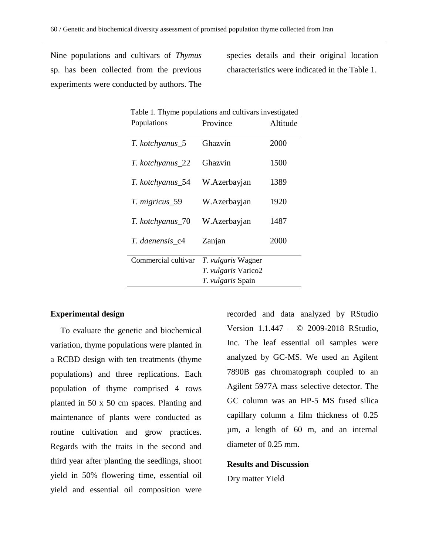Nine populations and cultivars of *Thymus* sp. has been collected from the previous experiments were conducted by authors. The

species details and their original location characteristics were indicated in the Table 1.

| Table 1. Thyme populations and cultivars investigated |                           |          |
|-------------------------------------------------------|---------------------------|----------|
| Populations                                           | Province                  | Altitude |
|                                                       |                           |          |
| T. kotchyanus_5                                       | Ghazvin                   | 2000     |
|                                                       |                           |          |
| T. kotchyanus_22                                      | Ghazvin                   | 1500     |
|                                                       |                           |          |
| T. kotchyanus_54                                      | W.Azerbayjan              | 1389     |
|                                                       |                           |          |
| T. migricus_59                                        | W.Azerbayjan              | 1920     |
|                                                       |                           |          |
| T. kotchyanus_70                                      | W.Azerbayjan              | 1487     |
| T. daenensis_c4                                       |                           | 2000     |
|                                                       | Zanjan                    |          |
| Commercial cultivar                                   | <i>T. vulgaris</i> Wagner |          |
|                                                       | T. vulgaris Varico2       |          |
|                                                       | T. vulgaris Spain         |          |
|                                                       |                           |          |

# **Experimental design**

To evaluate the genetic and biochemical variation, thyme populations were planted in a RCBD design with ten treatments (thyme populations) and three replications. Each population of thyme comprised 4 rows planted in 50 x 50 cm spaces. Planting and maintenance of plants were conducted as routine cultivation and grow practices. Regards with the traits in the second and third year after planting the seedlings, shoot yield in 50% flowering time, essential oil yield and essential oil composition were recorded and data analyzed by RStudio Version 1.1.447 – © 2009-2018 RStudio, Inc. The leaf essential oil samples were analyzed by GC-MS. We used an Agilent 7890B gas chromatograph coupled to an Agilent 5977A mass selective detector. The GC column was an HP-5 MS fused silica capillary column a film thickness of 0.25 µm, a length of 60 m, and an internal diameter of 0.25 mm.

#### **Results and Discussion**

Dry matter Yield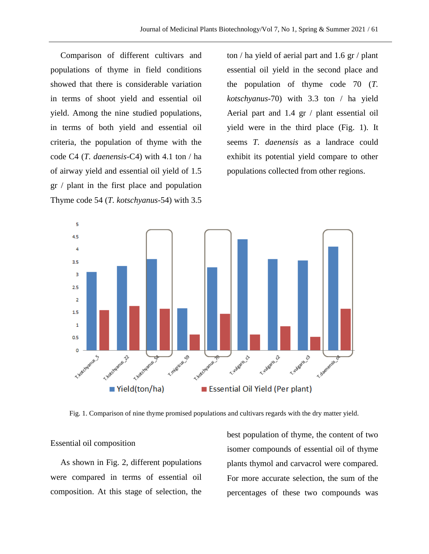Comparison of different cultivars and populations of thyme in field conditions showed that there is considerable variation in terms of shoot yield and essential oil yield. Among the nine studied populations, in terms of both yield and essential oil criteria, the population of thyme with the code C4 (*T. daenensis-*C4) with 4.1 ton / ha of airway yield and essential oil yield of 1.5 gr / plant in the first place and population Thyme code 54 (*T. kotschyanus*-54) with 3.5

ton / ha yield of aerial part and 1.6 gr / plant essential oil yield in the second place and the population of thyme code 70 (*T. kotschyanus*-70) with 3.3 ton / ha yield Aerial part and 1.4 gr / plant essential oil yield were in the third place (Fig. 1). It seems *T. daenensis* as a landrace could exhibit its potential yield compare to other populations collected from other regions.



Fig. 1. Comparison of nine thyme promised populations and cultivars regards with the dry matter yield.

# Essential oil composition

As shown in Fig. 2, different populations were compared in terms of essential oil composition. At this stage of selection, the

best population of thyme, the content of two isomer compounds of essential oil of thyme plants thymol and carvacrol were compared. For more accurate selection, the sum of the percentages of these two compounds was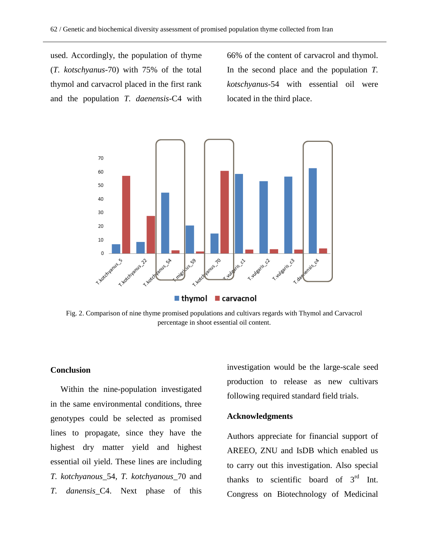used. Accordingly, the population of thyme (*T. kotschyanus*-70) with 75% of the total thymol and carvacrol placed in the first rank and the population *T. daenensis*-C4 with 66% of the content of carvacrol and thymol. In the second place and the population *T. kotschyanus*-54 with essential oil were located in the third place.



Fig. 2. Comparison of nine thyme promised populations and cultivars regards with Thymol and Carvacrol percentage in shoot essential oil content.

# **Conclusion**

Within the nine-population investigated in the same environmental conditions, three genotypes could be selected as promised lines to propagate, since they have the highest dry matter yield and highest essential oil yield. These lines are including *T. kotchyanous*\_54, *T. kotchyanous*\_70 and *T. danensis*\_C4. Next phase of this

investigation would be the large-scale seed production to release as new cultivars following required standard field trials.

# **Acknowledgments**

Authors appreciate for financial support of AREEO, ZNU and IsDB which enabled us to carry out this investigation. Also special thanks to scientific board of  $3<sup>rd</sup>$  Int. Congress on Biotechnology of Medicinal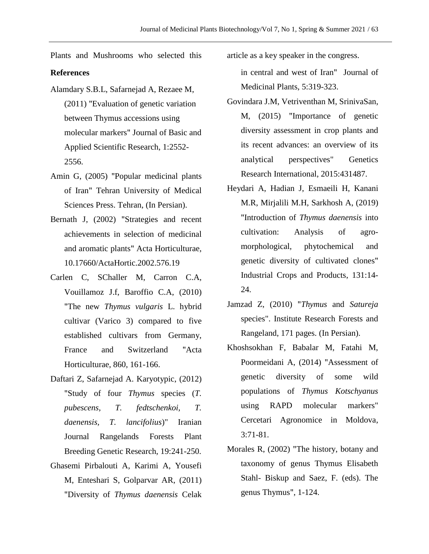Plants and Mushrooms who selected this article as a key speaker in the congress.

# **References**

- Alamdary S.B.L, Safarnejad A, Rezaee M, (2011) "Evaluation of genetic variation between Thymus accessions using molecular markers" Journal of Basic and Applied Scientific Research, 1:2552- 2556.
- Amin G, (2005) "Popular medicinal plants of Iran" Tehran University of Medical Sciences Press. Tehran, (In Persian).
- Bernath J, (2002) "Strategies and recent achievements in selection of medicinal and aromatic plants" Acta Horticulturae, 10.17660/ActaHortic.2002.576.19
- Carlen C, SChaller M, Carron C.A, Vouillamoz J.f, Baroffio C.A, (2010) "The new *Thymus vulgaris* L. hybrid cultivar (Varico 3) compared to five established cultivars from Germany, France and Switzerland "Acta Horticulturae, 860, 161-166.
- Daftari Z, Safarnejad A. Karyotypic, (2012) "Study of four *Thymus* species (*T. pubescens, T. fedtschenkoi, T. daenensis, T. lancifolius*)" Iranian Journal Rangelands Forests Plant Breeding Genetic Research, 19:241-250.
- Ghasemi Pirbalouti A, Karimi A, Yousefi M, Enteshari S, Golparvar AR, (2011) "Diversity of *Thymus daenensis* Celak

in central and west of Iran" Journal of Medicinal Plants, 5:319-323.

- Govindara J.M, Vetriventhan M, SrinivaSan, M, (2015) "Importance of genetic diversity assessment in crop plants and its recent advances: an overview of its analytical perspectives" Genetics Research International, 2015:431487.
- Heydari A, Hadian J, Esmaeili H, Kanani M.R, Mirjalili M.H, Sarkhosh A, (2019) "Introduction of *Thymus daenensis* into cultivation: Analysis of agromorphological, phytochemical and genetic diversity of cultivated clones" Industrial Crops and Products, 131:14- 24.
- Jamzad Z, (2010) "*Thymus* and *Satureja* species". Institute Research Forests and Rangeland, 171 pages. (In Persian).
- Khoshsokhan F, Babalar M, Fatahi M, Poormeidani A, (2014) "Assessment of genetic diversity of some wild populations of *Thymus Kotschyanus* using RAPD molecular markers" Cercetari Agronomice in Moldova, 3:71-81.
- Morales R, (2002) "The history, botany and taxonomy of genus Thymus Elisabeth Stahl- Biskup and Saez, F. (eds). The genus Thymus", 1-124.